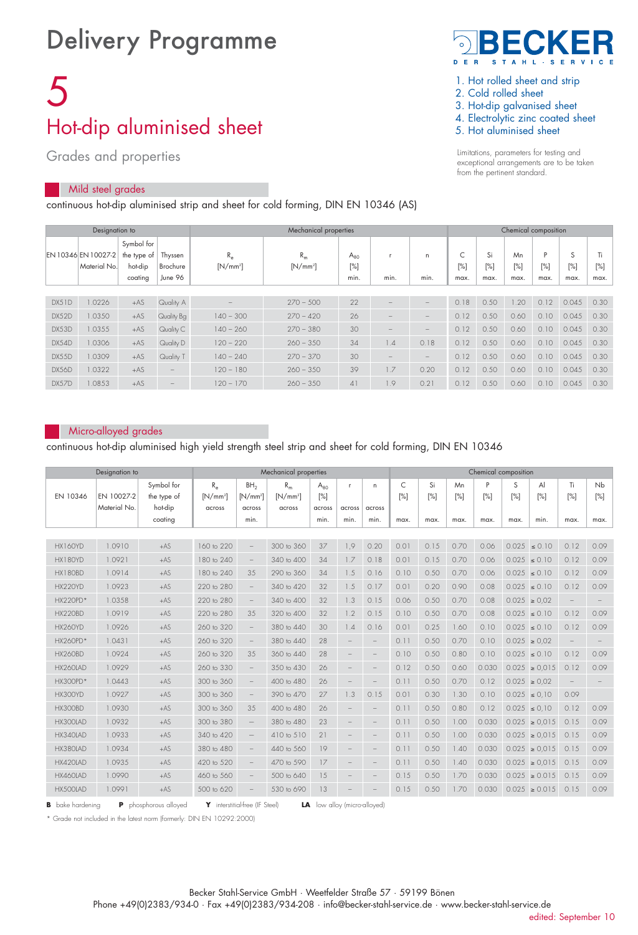## Delivery Programme

# 5 Hot-dip aluminised sheet

Grades and properties

## Mild steel grades

continuous hot-dip aluminised strip and sheet for cold forming, DIN EN 10346 (AS)



- 1. Hot rolled sheet and strip
- 2. Cold rolled sheet
- 3. Hot-dip galvanised sheet
- 4. Electrolytic zinc coated sheet
- 5. Hot aluminised sheet

Limitations, parameters for testing and exceptional arrangements are to be taken from the pertinent standard.

|       | Designation to                      |                                                 |                                |                          | Chemical composition |                            |                   |                                 |             |                   |                      |                     |                     |             |
|-------|-------------------------------------|-------------------------------------------------|--------------------------------|--------------------------|----------------------|----------------------------|-------------------|---------------------------------|-------------|-------------------|----------------------|---------------------|---------------------|-------------|
|       | EN 10346 EN 10027-2<br>Material No. | Symbol for<br>the type of<br>hot-dip<br>coating | Thyssen<br>Brochure<br>June 96 | $R_e$<br>$[N/mm^2]$      | $R_m$<br>$[N/mm^2]$  | $A_{80}$<br>$[\%]$<br>min. | min.              | n<br>min.                       | [%]<br>max. | Si<br>[%]<br>max. | Mn<br>$[\%]$<br>max. | D<br>$[\%]$<br>max. | S<br>$[\%]$<br>max. | [%]<br>max. |
|       |                                     |                                                 |                                |                          |                      |                            |                   |                                 |             |                   |                      |                     |                     |             |
| DX51D | .0226                               | $+AS$                                           | Quality A                      | $\overline{\phantom{a}}$ | $270 - 500$          | 22                         |                   |                                 | 0.18        | 0.50              | .20                  | 0.12                | 0.045               | 0.30        |
| DX52D | 1.0350                              | $+AS$                                           | Quality Bg                     | $140 - 300$              | $270 - 420$          | 26                         |                   | $\overline{\phantom{a}}$        | 0.12        | 0.50              | 0.60                 | 0.10                | 0.045               | 0.30        |
| DX53D | .0355                               | $+AS$                                           | Quality C                      | $140 - 260$              | $270 - 380$          | 30                         | -                 | $\qquad \qquad -$               | 0.12        | 0.50              | 0.60                 | 0.10                | 0.045               | 0.30        |
| DX54D | .0306                               | $+AS$                                           | Quality D                      | $120 - 220$              | $260 - 350$          | 34                         | 1.4               | 0.18                            | 0.12        | 0.50              | 0.60                 | 0.10                | 0.045               | 0.30        |
| DX55D | 1.0309                              | $+AS$                                           | Quality T                      | $140 - 240$              | $270 - 370$          | 30                         | $\qquad \qquad -$ | $\hspace{0.1mm}-\hspace{0.1mm}$ | 0.12        | 0.50              | 0.60                 | 0.10                | 0.045               | 0.30        |
| DX56D | 1.0322                              | $+AS$                                           |                                | $120 - 180$              | $260 - 350$          | 39                         | 1.7               | 0.20                            | 0.12        | 0.50              | 0.60                 | 0.10                | 0.045               | 0.30        |
| DX57D | .0853                               | $+AS$                                           |                                | $120 - 170$              | $260 - 350$          | 41                         | 1.9               | 0.21                            | 0.12        | 0.50              | 0.60                 | 0.10                | 0.045               | 0.30        |

## Micro-alloyed grades

continuous hot-dip aluminised high yield strength steel strip and sheet for cold forming, DIN EN 10346

|                 | Mechanical properties      |                                      |                                      |                                                 |                                         |                           | Chemical composition   |                        |          |           |           |          |          |                   |                          |              |
|-----------------|----------------------------|--------------------------------------|--------------------------------------|-------------------------------------------------|-----------------------------------------|---------------------------|------------------------|------------------------|----------|-----------|-----------|----------|----------|-------------------|--------------------------|--------------|
| EN 10346        | EN 10027-2<br>Material No. | Symbol for<br>the type of<br>hot-dip | $R_{\alpha}$<br>$[N/mm^2]$<br>across | BH <sub>2</sub><br>IN/mm <sup>2</sup><br>across | $R_m$<br>[N/mm <sup>2</sup> ]<br>across | $A_{80}$<br>[%]<br>across | $\mathbf{r}$<br>across | $\mathsf{n}$<br>across | C<br>[%] | Si<br>[%] | Mn<br>[%] | P<br>[%] | S<br>[%] | AI<br>[%]         | Ti.<br>[%]               | Nb<br>$[\%]$ |
|                 |                            | coating                              |                                      | min.                                            |                                         | min.                      | min.                   | min.                   | max.     | max.      | max.      | max.     | max.     | min.              | max.                     | max.         |
|                 |                            |                                      |                                      |                                                 |                                         |                           |                        |                        |          |           |           |          |          |                   |                          |              |
| HX160YD         | 1.0910                     | $+AS$                                | 160 to 220                           | $\qquad \qquad -$                               | 300 to 360                              | 37                        | 1.9                    | 0.20                   | 0.01     | 0.15      | 0.70      | 0.06     |          | $0.025 \le 0.10$  | 0.12                     | 0.09         |
| HX180YD         | 1.0921                     | $+AS$                                | 180 to 240                           | $\qquad \qquad -$                               | 340 to 400                              | 34                        | 1.7                    | 0.18                   | 0.01     | 0.15      | 0.70      | 0.06     |          | $0.025 \le 0.10$  | 0.12                     | 0.09         |
| HX180BD         | 1.0914                     | $+AS$                                | 180 to 240                           | 3.5                                             | 290 to 360                              | 34                        | 1.5                    | 0.16                   | 0.10     | 0.50      | 0.70      | 0.06     |          | $0.025 \le 0.10$  | 0.12                     | 0.09         |
| HX220YD         | 1.0923                     | $+AS$                                | 220 to 280                           | $\qquad \qquad -$                               | 340 to 420                              | 32                        | 1.5                    | 0.17                   | 0.01     | 0.20      | 0.90      | 0.08     |          | $0.025 \le 0.10$  | 0.12                     | 0.09         |
| $HX220PD*$      | 1.0358                     | $+AS$                                | 220 to 280                           | $\qquad \qquad -$                               | 340 to 400                              | 32                        | 1.3                    | 0.15                   | 0.06     | 0.50      | 0.70      | 0.08     |          | $0.025 \ge 0.02$  |                          |              |
| <b>HX220BD</b>  | 1.0919                     | $+AS$                                | 220 to 280                           | 3.5                                             | 320 to 400                              | 32                        | 1.2                    | 0.15                   | 0.10     | 0.50      | 0.70      | 0.08     |          | $0.025 \le 0.10$  | 0.12                     | 0.09         |
| HX260YD         | 1.0926                     | $+AS$                                | 260 to 320                           | $\overline{\phantom{a}}$                        | 380 to 440                              | 30                        | 1.4                    | 0.16                   | 0.01     | 0.25      | 1.60      | 0.10     | 0.025    | $\leq 0.10$       | 0.12                     | 0.09         |
| <b>HX260PD*</b> | 1.0431                     | $+AS$                                | 260 to 320                           | $\qquad \qquad -$                               | 380 to 440                              | 28                        |                        |                        | 0.11     | 0.50      | 0.70      | 0.10     |          | $0.025 \ge 0.02$  |                          |              |
| <b>HX260BD</b>  | 1.0924                     | $+AS$                                | 260 to 320                           | 35                                              | 360 to 440                              | 28                        |                        | $\qquad \qquad$        | 0.10     | 0.50      | 0.80      | 0.10     |          | $0.025 \le 0.10$  | 0.12                     | 0.09         |
| HX260LAD        | 1.0929                     | $+AS$                                | 260 to 330                           | $\qquad \qquad -$                               | 350 to 430                              | 26                        |                        |                        | 0.12     | 0.50      | 0.60      | 0.030    |          | $0.025 \ge 0.015$ | 0.12                     | 0.09         |
| HX300PD*        | 1.0443                     | $+AS$                                | 300 to 360                           | $\qquad \qquad -$                               | 400 to 480                              | 26                        |                        | $\qquad \qquad$        | 0.11     | 0.50      | 0.70      | 0.12     |          | $0.025 \ge 0.02$  | $\overline{\phantom{m}}$ |              |
| HX300YD         | 1.0927                     | $+AS$                                | 300 to 360                           | $\qquad \qquad -$                               | 390 to 470                              | 27                        | 1.3                    | 0.15                   | 0.01     | 0.30      | 1.30      | 0.10     |          | $0.025 \le 0.10$  | 0.09                     |              |
| HX300BD         | 1.0930                     | $+AS$                                | 300 to 360                           | 3.5                                             | 400 to 480                              | 26                        |                        | $\qquad \qquad$        | 0.11     | 0.50      | 0.80      | 0.12     | 0.025    | $\leq 0.10$       | 0.12                     | 0.09         |
| HX300LAD        | 1.0932                     | $+AS$                                | 300 to 380                           | $\overline{\phantom{m}}$                        | 380 to 480                              | 23                        |                        |                        | 0.11     | 0.50      | 1.00      | 0.030    |          | $0.025 \ge 0.015$ | 0.15                     | 0.09         |
| HX340LAD        | 1.0933                     | $+AS$                                | 340 to 420                           | $\overline{\phantom{m}}$                        | 410 to 510                              | 21                        |                        |                        | 0.11     | 0.50      | 1.00      | 0.030    |          | $0.025 \ge 0.015$ | 0.15                     | 0.09         |
| HX380LAD        | 1.0934                     | $+AS$                                | 380 to 480                           | $\qquad \qquad -$                               | 440 to 560                              | 19                        |                        |                        | 0.11     | 0.50      | 1.40      | 0.030    |          | $0.025 \ge 0.015$ | 0.15                     | 0.09         |
| HX420LAD        | 1.0935                     | $+AS$                                | 420 to 520                           | $\qquad \qquad -$                               | 470 to 590                              | 17                        |                        |                        | 0.11     | 0.50      | 1.40      | 0.030    | 0.025    | $\ge 0.015$       | 0.15                     | 0.09         |
| HX460LAD        | 1.0990                     | $+AS$                                | 460 to 560                           |                                                 | 500 to 640                              | 15                        |                        |                        | 0.15     | 0.50      | 1.70      | 0.030    |          | $0.025 \ge 0.015$ | 0.15                     | 0.09         |
| HX500LAD        | 1.0991                     | $+AS$                                | 500 to 620                           |                                                 | 530 to 690                              | 13                        |                        |                        | 0.15     | 0.50      | 1.70      | 0.030    |          | $0.025 \ge 0.015$ | 0.15                     | 0.09         |

**B** bake hardening **P** phosphorous alloyed **Y** interstitial-free (IF Steel) **LA** low alloy (micro-alloyed)

\* Grade not included in the latest norm (formerly: DIN EN 10292:2000)